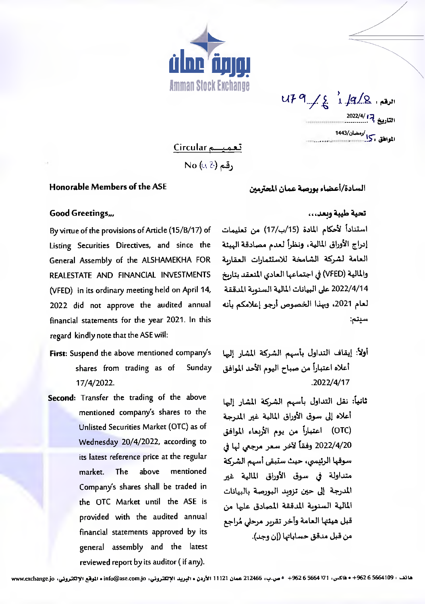

 $U F @>>> \left( \begin{matrix} 0 & 0 \\ 0 & 0 \end{matrix} \right) \cup \left( \begin{matrix} 0 & 0 \\ 0 & 0 \end{matrix} \right) \cup \left( \begin{matrix} 0 & 0 \\ 0 & 0 \end{matrix} \right) \cup \left( \begin{matrix} 0 & 0 \\ 0 & 0 \end{matrix} \right) \cup \left( \begin{matrix} 0 & 0 \\ 0 & 0 \end{matrix} \right) \cup \left( \begin{matrix} 0 & 0 \\ 0 & 0 \end{matrix} \right) \cup \left( \begin{matrix} 0 & 0 \\ 0 & 0 \end{matrix} \right) \cup \left( \begin{matrix} 0 & 0$ التاريخ <sup>7</sup>. <sup>2022/4/</sup> الموافق وكرا /دمضان/1443<br>الموافق وكرا

تعميم Circular

No (48) وقم

## Honorable Members of the ASE

السادة/أعضاء بورصة عمان المحترمين

## تحية طيبة وبعد...

استناداً لأحكام المادة (15/ب/17) من تعليمات By virtue of the provisions of Article (15/B/17) of العامة لشركة الشامخة للاستثمارات العقاربة والمالية (VFED) في اجتماعها العادي المنعقد بتاريخ 2022/4/14 على البيانات المالية السنوية المدققة لعام 2021، وبهذا الخصوص أرجو إعلامكم بأنه سيتم:

- أولاً: إيقاف التداول بأسهم الشركة المشار إليها أعلاه اعتباراً من صباح اليوم الأحد الموافق  $.2022/4/17$
- ثانياً: نقل التداول بأسهم الشركة المشار إليها أعلاه إلى سوق الأوراق المالية غير المدرجة (OTC) اعتباراً من يوم الأربعاء الموافق 2022/4/20 وفقاً لآخر سعر مرجعي لها في سوقها الرئيسي، حيث ستبقى أسهم الشركة متداولة في سوق الأوراق المالية غير المدرجة إلى حين تزويد البورصة بالبيانات المالية السنوبة المدققة المصادق عليها من قبل هيئتها العامة وآخر تقربر مرحلي مُراجع من قبل مدقق حساباتها (إن وجد).

## Good Greetings,,,

إدراج الأوراق المالية، ونظراً لعدم مصادقة الهيئة " Listing Securities Directives, and since the General Assembly of the ALSHAMEKHA FOR REALESTATE AND FINANCIAL INVESTMENTS (VFED) in its ordinary meeting held on April 14, 2022 did not approve the audited annual financial statements for the year 2021. In this regard kindly note that the ASE will:

- First: Suspend the above mentioned company's shares from trading as of Sunday 17/4/2022.
- Second: Transfer the trading of the above mentioned company's shares to the Unlisted Securities Market (OTC) as of Wednesday 20/4/2022, according to its latest reference price at the regular mentioned market. The above Company's shares shall be traded in the OTC Market until the ASE is provided with the audited annual financial statements approved by its general assembly and the latest reviewed report by its auditor (if any).